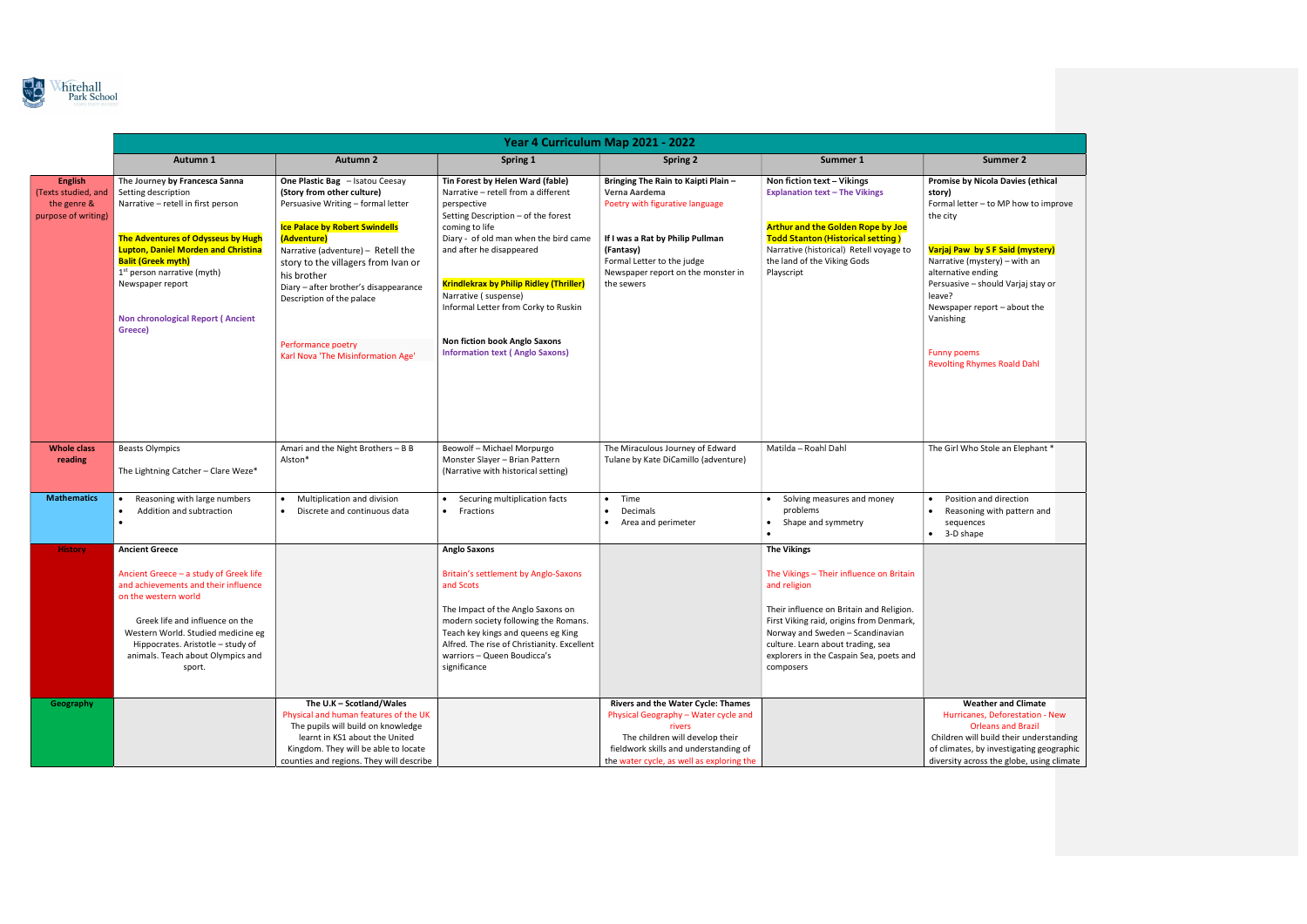

|                                                                             | Year 4 Curriculum Map 2021 - 2022                                                                                                                                                                                                                                                            |                                                                                                                                                                                                                                          |                                                                                                                                                                                                                                                                                           |                                                                                                                                                                                                               |                                                                                                                                                                                                                                                                                                         |                                                                                                                                                                                                                                |  |  |  |
|-----------------------------------------------------------------------------|----------------------------------------------------------------------------------------------------------------------------------------------------------------------------------------------------------------------------------------------------------------------------------------------|------------------------------------------------------------------------------------------------------------------------------------------------------------------------------------------------------------------------------------------|-------------------------------------------------------------------------------------------------------------------------------------------------------------------------------------------------------------------------------------------------------------------------------------------|---------------------------------------------------------------------------------------------------------------------------------------------------------------------------------------------------------------|---------------------------------------------------------------------------------------------------------------------------------------------------------------------------------------------------------------------------------------------------------------------------------------------------------|--------------------------------------------------------------------------------------------------------------------------------------------------------------------------------------------------------------------------------|--|--|--|
|                                                                             | Autumn 1                                                                                                                                                                                                                                                                                     | <b>Autumn 2</b>                                                                                                                                                                                                                          | <b>Spring 1</b>                                                                                                                                                                                                                                                                           | <b>Spring 2</b>                                                                                                                                                                                               | Summer 1                                                                                                                                                                                                                                                                                                | Summer 2                                                                                                                                                                                                                       |  |  |  |
| <b>English</b><br>(Texts studied, and<br>the genre &<br>purpose of writing) | The Journey by Francesca Sanna<br>Setting description<br>Narrative - retell in first person<br>The Adventures of Odysseus by Hugh<br><b>Lupton, Daniel Morden and Christina</b><br><b>Balit (Greek myth)</b>                                                                                 | One Plastic Bag - Isatou Ceesay<br>(Story from other culture)<br>Persuasive Writing - formal letter<br><b>Ice Palace by Robert Swindells</b><br>(Adventure)<br>Narrative (adventure) - Retell the<br>story to the villagers from Ivan or | Tin Forest by Helen Ward (fable)<br>Narrative - retell from a different<br>perspective<br>Setting Description - of the forest<br>coming to life<br>Diary - of old man when the bird came<br>and after he disappeared                                                                      | Bringing The Rain to Kaipti Plain -<br>Verna Aardema<br>Poetry with figurative language<br>If I was a Rat by Philip Pullman<br>(Fantasy)<br>Formal Letter to the judge                                        | Non fiction text - Vikings<br><b>Explanation text - The Vikings</b><br><b>Arthur and the Golden Rope by Joe</b><br><b>Todd Stanton (Historical setting)</b><br>Narrative (historical) Retell voyage to<br>the land of the Viking Gods                                                                   | <b>Promise by Nicola Davies (ethical</b><br>story)<br>Formal letter - to MP how to improve<br>the city<br>Varjaj Paw by S F Said (mystery)<br>Narrative (mystery) - with an                                                    |  |  |  |
|                                                                             | $1st$ person narrative (myth)<br>Newspaper report<br>Non chronological Report (Ancient<br>Greece)                                                                                                                                                                                            | his brother<br>Diary - after brother's disappearance<br>Description of the palace                                                                                                                                                        | <b>Krindlekrax by Philip Ridley (Thriller)</b><br>Narrative (suspense)<br>Informal Letter from Corky to Ruskin                                                                                                                                                                            | Newspaper report on the monster in<br>the sewers                                                                                                                                                              | Playscript                                                                                                                                                                                                                                                                                              | alternative ending<br>Persuasive - should Varjaj stay or<br>leave?<br>Newspaper report - about the<br>Vanishing                                                                                                                |  |  |  |
|                                                                             |                                                                                                                                                                                                                                                                                              | Performance poetry<br>Karl Nova 'The Misinformation Age'                                                                                                                                                                                 | Non fiction book Anglo Saxons<br><b>Information text (Anglo Saxons)</b>                                                                                                                                                                                                                   |                                                                                                                                                                                                               |                                                                                                                                                                                                                                                                                                         | <b>Funny poems</b><br><b>Revolting Rhymes Roald Dahl</b>                                                                                                                                                                       |  |  |  |
| <b>Whole class</b><br>reading                                               | <b>Beasts Olympics</b><br>The Lightning Catcher - Clare Weze*                                                                                                                                                                                                                                | Amari and the Night Brothers - B B<br>Alston*                                                                                                                                                                                            | Beowolf - Michael Morpurgo<br>Monster Slayer - Brian Pattern<br>(Narrative with historical setting)                                                                                                                                                                                       | The Miraculous Journey of Edward<br>Tulane by Kate DiCamillo (adventure)                                                                                                                                      | Matilda - Roahl Dahl                                                                                                                                                                                                                                                                                    | The Girl Who Stole an Elephant *                                                                                                                                                                                               |  |  |  |
| <b>Mathematics</b>                                                          | Reasoning with large numbers<br>Addition and subtraction                                                                                                                                                                                                                                     | Multiplication and division<br>Discrete and continuous data                                                                                                                                                                              | Securing multiplication facts<br>• Fractions                                                                                                                                                                                                                                              | $\bullet$ Time<br>Decimals<br>$\bullet$<br>Area and perimeter                                                                                                                                                 | Solving measures and money<br>problems<br>Shape and symmetry<br>$\bullet$                                                                                                                                                                                                                               | Position and direction<br>Reasoning with pattern and<br>sequences<br>$\bullet$ 3-D shape                                                                                                                                       |  |  |  |
| <b>History</b>                                                              | <b>Ancient Greece</b><br>Ancient Greece - a study of Greek life<br>and achievements and their influence<br>on the western world<br>Greek life and influence on the<br>Western World. Studied medicine eg<br>Hippocrates. Aristotle - study of<br>animals. Teach about Olympics and<br>sport. |                                                                                                                                                                                                                                          | <b>Anglo Saxons</b><br>Britain's settlement by Anglo-Saxons<br>and Scots<br>The Impact of the Anglo Saxons on<br>modern society following the Romans.<br>Teach key kings and queens eg King<br>Alfred. The rise of Christianity. Excellent<br>warriors - Queen Boudicca's<br>significance |                                                                                                                                                                                                               | <b>The Vikings</b><br>The Vikings - Their influence on Britain<br>and religion<br>Their influence on Britain and Religion.<br>First Viking raid, origins from Denmark,<br>Norway and Sweden - Scandinavian<br>culture. Learn about trading, sea<br>explorers in the Caspain Sea, poets and<br>composers |                                                                                                                                                                                                                                |  |  |  |
| Geography                                                                   |                                                                                                                                                                                                                                                                                              | The U.K - Scotland/Wales<br>Physical and human features of the UK<br>The pupils will build on knowledge<br>learnt in KS1 about the United<br>Kingdom. They will be able to locate<br>counties and regions. They will describe            |                                                                                                                                                                                                                                                                                           | Rivers and the Water Cycle: Thames<br>Physical Geography - Water cycle and<br>rivers<br>The children will develop their<br>fieldwork skills and understanding of<br>the water cycle, as well as exploring the |                                                                                                                                                                                                                                                                                                         | <b>Weather and Climate</b><br>Hurricanes, Deforestation - New<br><b>Orleans and Brazil</b><br>Children will build their understanding<br>of climates, by investigating geographic<br>diversity across the globe, using climate |  |  |  |

## ola Davies (ethical to MP how to improve Varjaj Paw by S F Said (mystery) Persuasive – should Varjaj stay or ort – about the nes Roald Dahl tole an Elephant \* d direction with pattern and ner and Climate Deforestation - New ans and Brazil uild their understanding investigating geographic